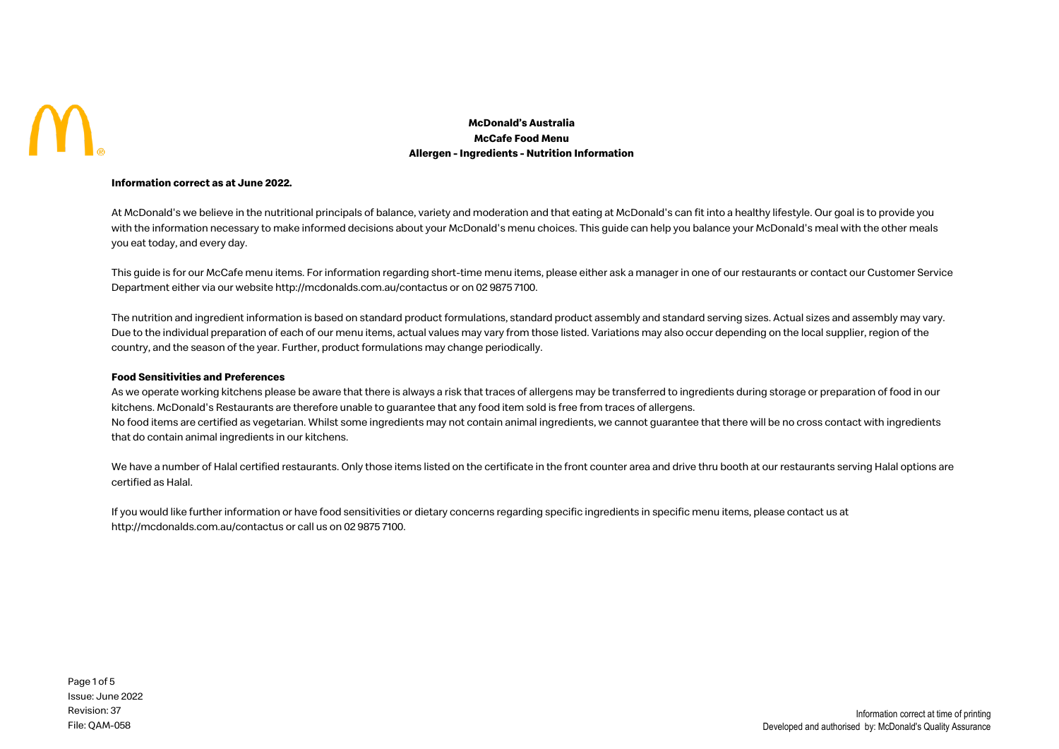

## **McDonald's Australia McCafe Food Menu Allergen - Ingredients - Nutrition Information**

### **Information correct as at June 2022.**

At McDonald's we believe in the nutritional principals of balance, variety and moderation and that eating at McDonald's can fit into a healthy lifestyle. Our goal is to provide you with the information necessary to make informed decisions about your McDonald's menu choices. This guide can help you balance your McDonald's meal with the other meals you eat today, and every day.

This guide is for our McCafe menu items. For information regarding short-time menu items, please either ask a manager in one of our restaurants or contact our Customer Service Department either via our website http://mcdonalds.com.au/contactus or on 02 9875 7100.

The nutrition and ingredient information is based on standard product formulations, standard product assembly and standard serving sizes. Actual sizes and assembly may vary. Due to the individual preparation of each of our menu items, actual values may vary from those listed. Variations may also occur depending on the local supplier, region of the country, and the season of the year. Further, product formulations may change periodically.

## **Food Sensitivities and Preferences**

As we operate working kitchens please be aware that there is always a risk that traces of allergens may be transferred to ingredients during storage or preparation of food in our kitchens. McDonald's Restaurants are therefore unable to guarantee that any food item sold is free from traces of allergens. No food items are certified as vegetarian. Whilst some ingredients may not contain animal ingredients, we cannot guarantee that there will be no cross contact with ingredients that do contain animal ingredients in our kitchens.

We have a number of Halal certified restaurants. Only those items listed on the certificate in the front counter area and drive thru booth at our restaurants serving Halal options are certified as Halal.

If you would like further information or have food sensitivities or dietary concerns regarding specific ingredients in specific menu items, please contact us at http://mcdonalds.com.au/contactus or call us on 02 9875 7100.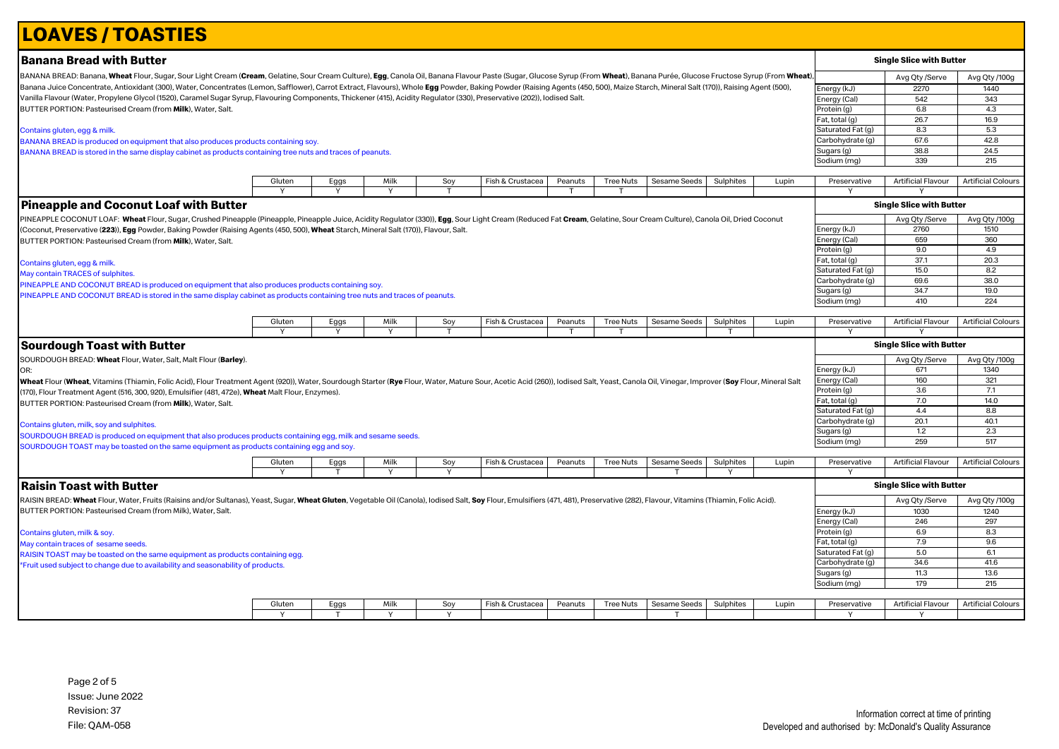# **LOAVES / TOASTIES**

| Banana Bread with Butter                                                                                                                                                                                                                               |        |      |              |     |                  |         |                  |              |           |       |                                | <b>Single Slice with Butter</b> |                           |
|--------------------------------------------------------------------------------------------------------------------------------------------------------------------------------------------------------------------------------------------------------|--------|------|--------------|-----|------------------|---------|------------------|--------------|-----------|-------|--------------------------------|---------------------------------|---------------------------|
| BANANA BREAD: Banana, Wheat Flour, Sugar, Sour Light Cream (Cream, Gelatine, Sour Cream Culture), Egg, Canola Oil, Banana Flavour Paste (Sugar, Glucose Syrup (From Wheat), Banana Purée, Glucose Fructose Syrup (From Wheat)                          |        |      |              |     |                  |         |                  |              |           |       |                                | Avg Qty /Serve                  | Avg Qty /100g             |
| Banana Juice Concentrate, Antioxidant (300), Water, Concentrates (Lemon, Safflower), Carrot Extract, Flavours), Whole Egg Powder, Baking Powder (Raising Agents (450, 500), Maize Starch, Mineral Salt (170)), Raising Agent (                         |        |      |              |     |                  |         |                  |              |           |       | Energy (kJ)                    | 2270                            | 1440                      |
| Vanilla Flavour (Water, Propylene Glycol (1520), Caramel Sugar Syrup, Flavouring Components, Thickener (415), Acidity Regulator (330), Preservative (202)), Iodised Salt.                                                                              |        |      |              |     |                  |         |                  |              |           |       | Energy (Cal)                   | 542                             | 343                       |
| BUTTER PORTION: Pasteurised Cream (from Milk), Water, Salt.                                                                                                                                                                                            |        |      |              |     |                  |         |                  |              |           |       | Protein (g)                    | 6.8                             | 4.3                       |
|                                                                                                                                                                                                                                                        |        |      |              |     |                  |         |                  |              |           |       | Fat, total (g)                 | 26.7                            | 16.9                      |
| Contains gluten, egg & milk.                                                                                                                                                                                                                           |        |      |              |     |                  |         |                  |              |           |       | Saturated Fat (g)              | 8.3                             | 5.3                       |
| BANANA BREAD is produced on equipment that also produces products containing soy.                                                                                                                                                                      |        |      |              |     |                  |         |                  |              |           |       | Carbohydrate (g)               | 67.6                            | 42.8                      |
| BANANA BREAD is stored in the same display cabinet as products containing tree nuts and traces of peanuts.                                                                                                                                             |        |      |              |     |                  |         |                  |              |           |       | Sugars (g)                     | 38.8                            | 24.5                      |
|                                                                                                                                                                                                                                                        |        |      |              |     |                  |         |                  |              |           |       | Sodium (mg)                    | 339                             | 215                       |
|                                                                                                                                                                                                                                                        |        |      |              |     |                  |         |                  |              |           |       |                                |                                 |                           |
|                                                                                                                                                                                                                                                        | Gluten | Eggs | Milk         | Soy | Fish & Crustacea | Peanuts | <b>Tree Nuts</b> | Sesame Seeds | Sulphites | Lupin | Preservative                   | <b>Artificial Flavour</b>       | <b>Artificial Colours</b> |
|                                                                                                                                                                                                                                                        |        |      | <sup>V</sup> |     |                  |         |                  |              |           |       |                                |                                 |                           |
| <b>Pineapple and Coconut Loaf with Butter</b>                                                                                                                                                                                                          |        |      |              |     |                  |         |                  |              |           |       |                                | <b>Single Slice with Butter</b> |                           |
| PINEAPPLE COCONUT LOAF: Wheat Flour, Sugar, Crushed Pineapple (Pineapple, Pineapple Juice, Acidity Regulator (330)), Egg, Sour Light Cream (Reduced Fat Cream, Gelatine, Sour Cream Culture), Canola Oil, Dried Coconut                                |        |      |              |     |                  |         |                  |              |           |       |                                | Avg Qty /Serve                  | Avg Qty /100g             |
| (Coconut, Preservative ( <b>223</b> )), <b>Egg</b> Powder, Baking Powder (Raising Agents (450, 500), <b>Wheat</b> Starch, Mineral Salt (170)), Flavour, Salt.                                                                                          |        |      |              |     |                  |         |                  |              |           |       | Energy (kJ)                    | 2760                            | 1510                      |
| BUTTER PORTION: Pasteurised Cream (from Milk), Water, Salt.                                                                                                                                                                                            |        |      |              |     |                  |         |                  |              |           |       | Energy (Cal                    | 659                             | 360                       |
|                                                                                                                                                                                                                                                        |        |      |              |     |                  |         |                  |              |           |       | Protein (g)                    | 9.0                             | 4.9                       |
|                                                                                                                                                                                                                                                        |        |      |              |     |                  |         |                  |              |           |       | Fat, total (g)                 | 37.1                            | 20.3                      |
| Contains gluten, egg & milk.                                                                                                                                                                                                                           |        |      |              |     |                  |         |                  |              |           |       | Saturated Fat (g)              | 15.0                            | 8.2                       |
| May contain TRACES of sulphites.                                                                                                                                                                                                                       |        |      |              |     |                  |         |                  |              |           |       | Carbohydrate (g)               | 69.6                            | 38.0                      |
| PINEAPPLE AND COCONUT BREAD is produced on equipment that also produces products containing soy                                                                                                                                                        |        |      |              |     |                  |         |                  |              |           |       | Sugars (g)                     | 34.7                            | 19.0                      |
| PINEAPPLE AND COCONUT BREAD is stored in the same display cabinet as products containing tree nuts and traces of peanuts.                                                                                                                              |        |      |              |     |                  |         |                  |              |           |       | Sodium (mg)                    | 410                             | 224                       |
|                                                                                                                                                                                                                                                        |        |      |              |     |                  |         |                  |              |           |       |                                |                                 |                           |
|                                                                                                                                                                                                                                                        | Gluten | Eggs | Milk         | Soy | Fish & Crustacea | Peanuts | <b>Tree Nuts</b> | Sesame Seeds | Sulphites | Lupin | Preservative                   | <b>Artificial Flavour</b>       | <b>Artificial Colours</b> |
|                                                                                                                                                                                                                                                        |        |      | Y            |     |                  |         |                  |              |           |       |                                |                                 |                           |
|                                                                                                                                                                                                                                                        |        |      |              |     |                  |         |                  |              |           |       |                                |                                 |                           |
|                                                                                                                                                                                                                                                        |        |      |              |     |                  |         |                  |              |           |       |                                | <b>Single Slice with Butter</b> |                           |
|                                                                                                                                                                                                                                                        |        |      |              |     |                  |         |                  |              |           |       |                                |                                 |                           |
| SOURDOUGH BREAD: Wheat Flour, Water, Salt, Malt Flour (Barley).                                                                                                                                                                                        |        |      |              |     |                  |         |                  |              |           |       |                                | Avg Qty /Serve<br>671           | Avg Qty /100g<br>1340     |
| <b>Sourdough Toast with Butter</b><br>OR:                                                                                                                                                                                                              |        |      |              |     |                  |         |                  |              |           |       | Energy (kJ)                    | 160                             |                           |
| <b>Wheat</b> Flour ( <b>Wheat</b> , Vitamins (Thiamin, Folic Acid), Flour Treatment Agent (920)), Water, Sourdough Starter ( <b>Rye</b> Flour, Water, Mature Sour, Acetic Acid (260)), lodised Salt, Yeast, Canola Oil, Vinegar, Improver ( <b>Soy</b> |        |      |              |     |                  |         |                  |              |           |       | Energy (Cal)<br>Protein (g)    | 3.6                             | 321<br>7.1                |
| (170), Flour Treatment Agent (516, 300, 920), Emulsifier (481, 472e), <b>Wheat</b> Malt Flour, Enzymes).                                                                                                                                               |        |      |              |     |                  |         |                  |              |           |       | Fat, total (g)                 | 7.0                             | 14.0                      |
| BUTTER PORTION: Pasteurised Cream (from Milk), Water, Salt.                                                                                                                                                                                            |        |      |              |     |                  |         |                  |              |           |       |                                | 4.4                             | 8.8                       |
|                                                                                                                                                                                                                                                        |        |      |              |     |                  |         |                  |              |           |       | Saturated Fat (g)              | 20.1                            | 40.1                      |
| Contains gluten, milk, soy and sulphites.                                                                                                                                                                                                              |        |      |              |     |                  |         |                  |              |           |       | Carbohydrate (g)<br>Sugars (g) | 1.2                             | 2.3                       |
| SOURDOUGH BREAD is produced on equipment that also produces products containing egg, milk and sesame seeds.                                                                                                                                            |        |      |              |     |                  |         |                  |              |           |       | Sodium (mg)                    | 259                             | 517                       |
| SOURDOUGH TOAST may be toasted on the same equipment as products containing egg and soy.                                                                                                                                                               |        |      |              |     |                  |         |                  |              |           |       |                                |                                 |                           |
|                                                                                                                                                                                                                                                        | Gluten | Eggs | Milk         | Soy | Fish & Crustacea | Peanuts | <b>Tree Nuts</b> | Sesame Seeds | Sulphites | Lupin | Preservative                   | <b>Artificial Flavour</b>       | <b>Artificial Colours</b> |
|                                                                                                                                                                                                                                                        |        |      | Y            | Y   |                  |         |                  |              |           |       |                                |                                 |                           |
| <b>Raisin Toast with Butter</b>                                                                                                                                                                                                                        |        |      |              |     |                  |         |                  |              |           |       |                                | <b>Single Slice with Butter</b> |                           |
| RAISIN BREAD: <b>Wheat</b> Flour, Water, Fruits (Raisins and/or Sultanas), Yeast, Sugar, <b>Wheat Gluten</b> , Vegetable Oil (Canola), Iodised Salt, <b>Soy</b> Flour, Emulsifiers (471, 481), Preservative (282), Flavour, Vitamins (Thiamin,         |        |      |              |     |                  |         |                  |              |           |       |                                | Avg Qty /Serve                  | Avg Qty /100g             |
| BUTTER PORTION: Pasteurised Cream (from Milk), Water, Salt.                                                                                                                                                                                            |        |      |              |     |                  |         |                  |              |           |       | Energy (kJ)                    | 1030                            | 1240                      |
|                                                                                                                                                                                                                                                        |        |      |              |     |                  |         |                  |              |           |       | Energy (Cal)                   | 246                             | 297                       |
|                                                                                                                                                                                                                                                        |        |      |              |     |                  |         |                  |              |           |       | Protein (g)                    | 6.9                             | 8.3                       |
| Contains gluten, milk & soy                                                                                                                                                                                                                            |        |      |              |     |                  |         |                  |              |           |       | Fat, total (g)                 | 7.9                             | 9.6                       |
| May contain traces of sesame seeds.                                                                                                                                                                                                                    |        |      |              |     |                  |         |                  |              |           |       | Saturated Fat (g)              | 5.0                             | 6.1                       |
| RAISIN TOAST may be toasted on the same equipment as products containing egg.                                                                                                                                                                          |        |      |              |     |                  |         |                  |              |           |       | Carbohydrate (g)               | 34.6                            | 41.6                      |
| *Fruit used subject to change due to availability and seasonability of products.                                                                                                                                                                       |        |      |              |     |                  |         |                  |              |           |       | Sugars (g)                     | 11.3                            | 13.6                      |
|                                                                                                                                                                                                                                                        |        |      |              |     |                  |         |                  |              |           |       | Sodium (mg)                    | 179                             | 215                       |
|                                                                                                                                                                                                                                                        |        |      |              |     |                  |         |                  |              |           |       |                                |                                 |                           |
|                                                                                                                                                                                                                                                        | Gluten | Eggs | Milk         | Soy | Fish & Crustacea | Peanuts | <b>Tree Nuts</b> | Sesame Seeds | Sulphites | Lupin | Preservative                   | <b>Artificial Flavour</b>       | <b>Artificial Colours</b> |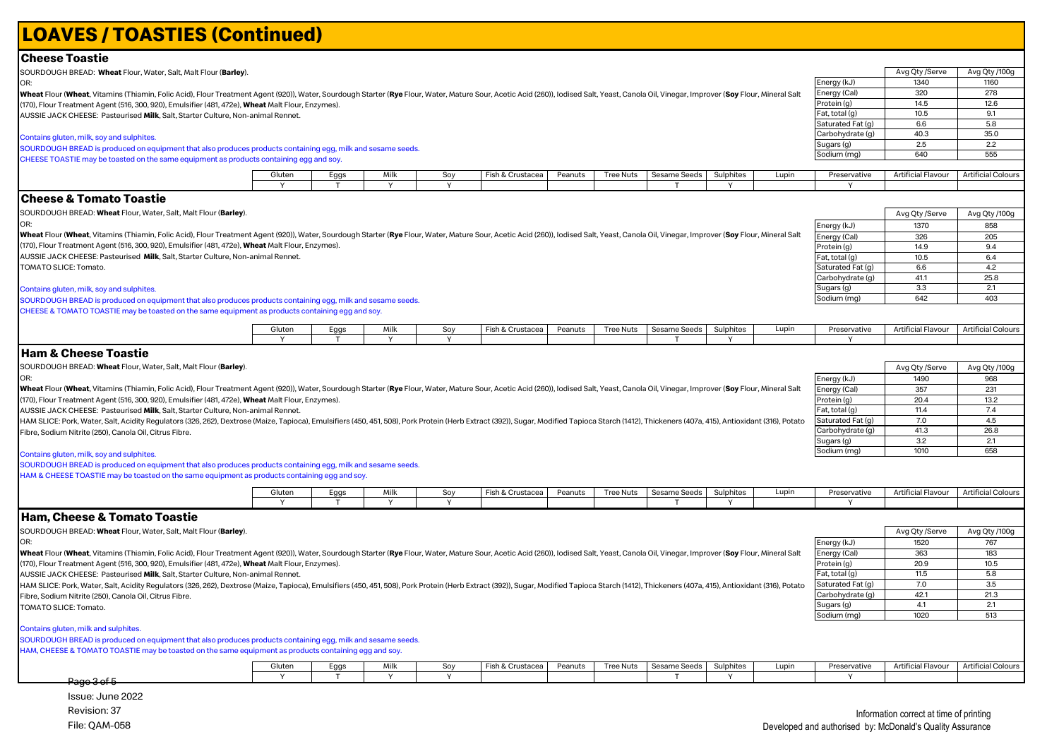#### Avg Qty /Serve Avg Qty /100g Energy (kJ) 1340 1160<br>
Energy (Cal) 320 278 Property (Cal) 320 278<br>
Protein (a) 320 278 Protein (g) 14.5 12.6<br>Fat total (g) 10.5 91 Fat, total (g) 10.5 9.1<br>
Saturated Fat (g) 6.6 5.8 Saturated Fat (g)  $\begin{array}{|l} 6.6 \end{array}$  5.8<br>Carbohydrate (g)  $\begin{array}{|l} 6.6 \end{array}$  5.8  $\frac{\text{Carbohydrate (g)}}{\text{Sugars (a)}}$  40.3 35.0  $\logars(q)$  2.5 Sodium (mg) 640 555 Gluten | Eggs | Milk | Soy |Fish&Crustacea Peanuts |Tree<code>Nuts |Sesame</code>Seeds |Sulphites | Lupin | Preservative |Artificial Flavour |Artificial Colours Y T Y Y T Y Y Avg Qty /Serve Avg Qty /100g Energy (kJ) 1370 858 Energy (Cal) 326 205 Protein (g) | 14.9 | 9.4 Fat, total (g) 10.5 6.4<br>
Saturated Fat (g) 6.6 4.2  $\begin{array}{|c|c|c|c|}\n\hline\n\text{Satuated Fat (g)} & \text{6.6} & \text{4.2} \\
\text{Carbohvdrate (a)} & \text{41.1} & \text{25.8}\n\end{array}$  $\begin{array}{|c|c|c|c|}\n\hline\n\text{Carbohydrate (g)} & \text{41.1} & \text{25.8}\n\hline\n\text{Sluqars (g)} & \text{33} & \text{21}\n\hline\n\end{array}$ Sugars (g) 3.3 2.1<br>Sodium (mg) 642 403  $S$ odium (mg) Gluten | Eggs | Milk | Soy |Fish&Crustacea Peanuts |Tree<code>Nuts |Sesame</code>Seeds | Sulphites | Lupin | Preservative |Artificial Flavour |Artificial Colours Y | T | Y | Y | | | | | | | | | | | Y | | | | Y Avg Qty /Serve Avg Qty /100g Energy (kJ) 1490 968 Energy (Cal)  $\overline{\hspace{1.6cm}}$  357  $\overline{\hspace{1.6cm}}$  231 Protein (g) 20.4 13.2<br>
Fat. total (g) 11.4 7.4 Fat, total (g) 11.4 7.4<br>
Faturated Fat (g) 7.0 4.5 Saturated Fat (g) Carbohydrate  $(g)$  41.3 26.8  $Suaars(a)$  3.2 2.1 Sodium (mg) | 1010 | 658 Gluten | Eggs | Milk | Soy | Fish & Crustacea | Peanuts | Tree Nuts | Sesame Seeds | Sulphites | Lupin | Preservative | Artificial Flavour | Artificial Colours Y T Y Y T Y Y Avg Qty /Serve Avg Qty /100g Energy (kJ) 1520 767 Energy (Cal)  $363$  183 Protein (g) 20.9 10.5 Fat, total (g)  $\overline{\hspace{1cm}}$  11.5 5.8 Saturated Fat  $(g)$  7.0 3.5<br>Carbohydrate  $(g)$  42.1 21.3 Carbohydrate (g) Sugars (g)  $\begin{array}{|c|c|c|c|c|} \hline \text{Sugars (g)} & \text{4.1} & \text{2.1} \\ \hline \text{Sodium (mg)} & \text{1020} & \text{513} \\ \hline \end{array}$ Sodium (mg) Gluten | Eggs | Milk | Soy | Fish & Crustacea | Peanuts | Tree Nuts | Sesame Seeds | Sulphites | Lupin | Preservative | Artificial Flavour | Artificial Colours Y | T | Y | Y | | | | | | | | | | | Y | | | | Y **LOAVES / TOASTIES (Continued) Cheese Toastie Ham, Cheese & Tomato Toastie Cheese & Tomato Toastie Ham & Cheese Toastie** SOURDOUGH BREAD: **Wheat** Flour, Water, Salt, Malt Flour (**Barley**). OR: Wheat Flour (Wheat, Vitamins (Thiamin, Folic Acid), Flour Treatment Agent (920)), Water, Sourdough Starter (Rye Flour, Water, Mature Sour, Acetic Acid (260)), Iodised Salt, Yeast, Canola Oil, Vinegar, Improver (Soy Flour, (170), Flour Treatment Agent (516, 300, 920), Emulsifier (481, 472e), **Wheat** Malt Flour, Enzymes). AUSSIE JACK CHEESE: Pasteurised **Milk**, Salt, Starter Culture, Non-animal Rennet. HAM SLICE: Pork, Water, Salt, Acidity Regulators (326, 262), Dextrose (Maize, Tapioca), Emulsifiers (450, 451, 508), Pork Protein (Herb Extract (392)), Sugar, Modified Tapioca Starch (1412), Thickeners (407a, 415), Antioxi Fibre, Sodium Nitrite (250), Canola Oil, Citrus Fibre. TOMATO SLICE: Tomato. Contains gluten, milk and sulphites. SOURDOUGH BREAD is produced on equipment that also produces products containing egg, milk and sesame seeds. HAM, CHEESE & TOMATO TOASTIE may be toasted on the same equipment as products containing egg and soy. SOURDOUGH BREAD: **Wheat** Flour, Water, Salt, Malt Flour (**Barley**). OR: Wheat Flour (Wheat, Vitamins (Thiamin, Folic Acid), Flour Treatment Agent (920)), Water, Sourdough Starter (Rye Flour, Water, Mature Sour, Acetic Acid (260)), lodised Salt, Yeast, Canola Oil, Vinegar, Improver (Soy Flour, (170), Flour Treatment Agent (516, 300, 920), Emulsifier (481, 472e), **Wheat** Malt Flour, Enzymes). AUSSIE JACK CHEESE: Pasteurised **Milk**, Salt, Starter Culture, Non-animal Rennet. Contains gluten, milk, soy and sulphites. SOURDOUGH BREAD is produced on equipment that also produces products containing egg, milk and sesame seeds. CHEESE TOASTIE may be toasted on the same equipment as products containing egg and soy. SOURDOUGH BREAD: **Wheat** Flour, Water, Salt, Malt Flour (**Barley**). O<sub>D</sub> Wheat Flour (Wheat, Vitamins (Thiamin, Folic Acid), Flour Treatment Agent (920)), Water, Sourdough Starter (Rye Flour, Water, Mature Sour, Acetic Acid (260)), Iodised Salt, Yeast, Canola Oil, Vinegar, Improver (Soy Flour, (170), Flour Treatment Agent (516, 300, 920), Emulsifier (481, 472e), **Wheat** Malt Flour, Enzymes). AUSSIE JACK CHEESE: Pasteurised **Milk**, Salt, Starter Culture, Non-animal Rennet. HAM SLICE: Pork, Water, Salt, Acidity Regulators (326, 262), Dextrose (Maize, Tapioca), Emulsifiers (450, 451, 508), Pork Protein (Herb Extract (392)), Sugar, Modified Tapioca Starch (1412), Thickeners (407a, 415), Antioxi Fibre, Sodium Nitrite (250), Canola Oil, Citrus Fibre. Contains gluten, milk, soy and sulphites. SOURDOUGH BREAD is produced on equipment that also produces products containing egg, milk and sesame seeds. HAM & CHEESE TOASTIE may be toasted on the same equipment as products containing egg and soy. SOURDOUGH BREAD: **Wheat** Flour, Water, Salt, Malt Flour (**Barley**). OR: Wheat Flour (Wheat Vitamins (Thiamin, Folic Acid), Flour Treatment Agent (920)), Water, Sourdough Starter (Rve Flour, Water, Mature Sour, Acetic Acid (260)), Iodised Salt, Yeast, Canola Oil, Vinegar, Improver (Sov Flour, M (170), Flour Treatment Agent (516, 300, 920), Emulsifier (481, 472e), **Wheat** Malt Flour, Enzymes). AUSSIE JACK CHEESE: Pasteurised **Milk**, Salt, Starter Culture, Non-animal Rennet. TOMATO SLICE: Tomato. Contains gluten, milk, soy and sulphites. SOURDOUGH BREAD is produced on equipment that also produces products containing egg, milk and sesame seeds. CHEESE & TOMATO TOASTIE may be toasted on the same equipment as products containing egg and soy. Page 3 of 5

Issue: June 2022 Revision: 37 File: QAM-058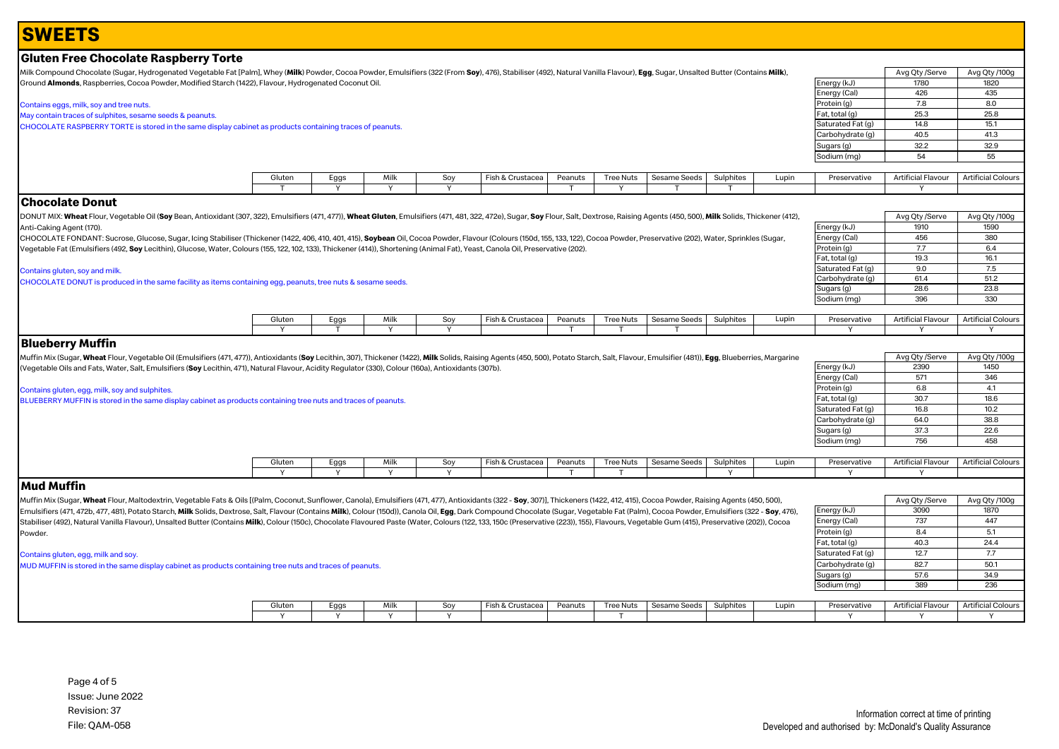# **Gluten Free Chocolate Raspberry Torte**

Milk Compound Chocolate (Sugar, Hydrogenated Vegetable Fat [Palm], Whey (Milk) Powder, Cocoa Powder, Emulsifiers (322 (From Soy), 476), Stabiliser (492), Natural Vanilla Flavour), Egg, Sugar, Unsalted Butter (Contains Milk Ground **Almonds**, Raspberries, Cocoa Powder, Modified Starch (1422), Flavour, Hydrogenated Coconut Oil.

#### Contains eggs, milk, soy and tree nuts.

May contain traces of sulphites, sesame seeds & peanuts. CHOCOLATE RASPBERRY TORTE is stored in the same display cabinet as products containing traces of peanuts.

|                   | Avg Qty /Serve | Avg Qty /100g |
|-------------------|----------------|---------------|
| Energy (kJ)       | 1780           | 1820          |
| Energy (Cal)      | 426            | 435           |
| Protein (g)       | 7.8            | 8.0           |
| Fat, total (g)    | 25.3           | 25.8          |
| Saturated Fat (g) | 14.8           | 15.1          |
| Carbohydrate (q)  | 40.5           | 41.3          |
| Sugars (g)        | 32.2           | 32.9          |
| Sodium (mg)       | 54             | 55            |
|                   |                |               |

Energy (kJ) 1910 1590 Energy (Cal) 456 380<br>Protein (g) 7.7 6.4 Protein (g) 7.7 6.4<br>
Fat, total (g) 19.3 16.1

Saturated Fat (g)  $\begin{array}{|c|c|c|c|c|} \hline 9.0 & 7.5 \end{array}$ <br>Carbohydrate (g) 61.4 51.2

Sugars (g) 28.6 23.8<br>
Sodium (mg) 396 330

Fat, total (g)

Sodium (mg)

Carbohydrate (g)

Avg Qty /Serve Avg Qty /100g

Avg Qty /Serve Avg Qty /100g

| Gluten | <b>⊢</b> ص<br>Lys | Milk | יר<br>. | $\sim$<br>-isn & Crustacea | Peanuts | Tree Nuts | Sesame Seeds | Sulphites | Lupir | Preservative | <b>Artificial Flavour</b> | Artificial Colours |
|--------|-------------------|------|---------|----------------------------|---------|-----------|--------------|-----------|-------|--------------|---------------------------|--------------------|
|        |                   |      |         |                            |         |           |              |           |       |              |                           |                    |

## **Chocolate Donut**

DONUT MIX: Wheat Flour, Vegetable Oil (Soy Bean, Antioxidant (307, 322), Emulsifiers (471, 477)), Wheat Gluten, Emulsifiers (471, 481, 322, 472e), Sugar, Soy Flour, Salt, Dextrose, Raising Agents (450, 500), Milk Solids, T Anti-Caking Agent (170).

CHOCOLATE FONDANT: Sucrose, Glucose, Sugar, Icing Stabiliser (Thickener (1422, 406, 410, 401, 415), Soybean Oil, Cocoa Powder, Flavour (Colours (150d, 155, 133, 122), Cocoa Powder, Preservative (202), Water, Sprinkles (Sug Vegetable Fat (Emulsifiers (492, **Soy** Lecithin), Glucose, Water, Colours (155, 122, 102, 133), Thickener (414)), Shortening (Animal Fat), Yeast, Canola Oil, Preservative (202).

#### Contains gluten, soy and milk.

CHOCOLATE DONUT is produced in the same facility as items containing egg, peanuts, tree nuts & sesame seeds.

| Gluten | Eags | AAIL.<br>חווי | Sov | Fish & 、<br>Crustacea | Peanuts | Tree Nuts | Sesame Seeds | $\cdots$<br>Sulphites | Lupir | Preservative | Artificial Flavour | <b>Artificial Colours</b> |
|--------|------|---------------|-----|-----------------------|---------|-----------|--------------|-----------------------|-------|--------------|--------------------|---------------------------|
|        |      |               |     |                       |         |           |              |                       |       |              |                    |                           |

## **Blueberry Muffin**

Muffin Mix (Sugar, Wheat Flour, Vegetable Oil (Emulsifiers (471, 477)), Antioxidants (Soy Lecithin, 307), Thickener (1422), Milk Solids, Raising Agents (450, 500), Potato Starch, Salt, Flavour, Emulsifier (481)), Egg, Blue (Vegetable Oils and Fats, Water, Salt, Emulsifiers (**Soy** Lecithin, 471), Natural Flavour, Acidity Regulator (330), Colour (160a), Antioxidants (307b).

#### Contains gluten, egg, milk, soy and sulphites.

BLUEBERRY MUFFIN is stored in the same display cabinet as products containing tree nuts and traces of peanuts.

|                   | Avg Qty /Serve | Avg Qty /100g |
|-------------------|----------------|---------------|
| Energy (kJ)       | 2390           | 1450          |
| Energy (Cal)      | 571            | 346           |
| Protein (g)       | 6.8            | 4.1           |
| Fat, total (g)    | 30.7           | 18.6          |
| Saturated Fat (g) | 16.8           | 10.2          |
| Carbohydrate (q)  | 64.0           | 38.8          |
| Sugars (g)        | 37.3           | 22.6          |
| Sodium (mg)       | 756            | 458           |

 $Energy (kJ)$  3090 1870 Energy (Cal) 737 447 Protein (g)  $8.4$  5.1 Fat, total (g)  $40.3$  24.4 Saturated Fat  $(q)$  12.7 7.7 Carbohydrate  $(g)$  82.7  $\vert$  50.1 Sugars (g) 57.6 34.9 Sodium (mg) 389 236

| Gluter. | Eggs | Milk | Sov | Fish & Crustacea | Peanuts | Tree Nuts | Sesame Seeds | Sulphites | Lupin | Preservative | $\sim$ $\sim$ $\sim$<br>Artificial Flavour | Artificial Colours |
|---------|------|------|-----|------------------|---------|-----------|--------------|-----------|-------|--------------|--------------------------------------------|--------------------|
|         |      |      |     |                  |         |           |              |           |       |              |                                            |                    |

## **Mud Muffin**

Muffin Mix (Sugar, Wheat Flour, Maltodextrin, Vegetable Fats & Oils [(Palm, Coconut, Sunflower, Canola), Emulsifiers (471, 477), Antioxidants (322 - Soy, 307)], Thickeners (1422, 412, 415), Cocoa Powder, Raising Agents (45 Emulsifiers (471, 472b, 477, 481), Potato Starch, Milk Solids, Dextrose, Salt, Flavour (Contains Milk), Colour (150d)), Canola Oil, Egg, Dark Compound Chocolate (Sugar, Vegetable Fat (Palm), Cocoa Powder, Emulsifiers (322 Stabiliser (492), Natural Vanilla Flavour), Unsalted Butter (Contains Milk), Colour (150c), Chocolate Flavoured Paste (Water, Colours (122, 133, 150c (Preservative (223)), 155), Flavours, Vegetable Gum (415), Preservative Powder.

#### Contains gluten, egg, milk and soy.

MUD MUFFIN is stored in the same display cabinet as products containing tree nuts and traces of peanuts.

| Gluten | Eaas | Milk | Sον | Fish & Crustacea | Peanuts | Tree Nuts | I Sesame Seeds | Sulphites | Lupir- | Preservative | $\sim$<br>Artificial Flavour | <b>Artificial Colours</b> |
|--------|------|------|-----|------------------|---------|-----------|----------------|-----------|--------|--------------|------------------------------|---------------------------|
|        |      |      |     |                  |         |           |                |           |        |              |                              |                           |